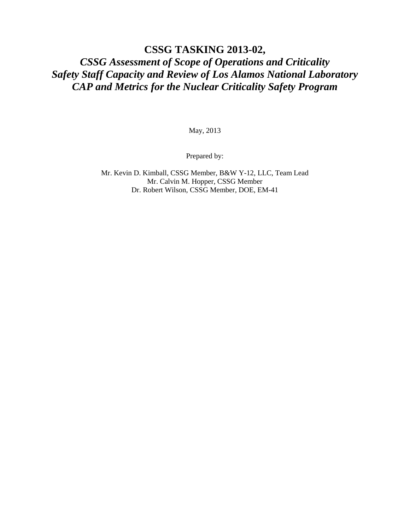# **CSSG TASKING 2013-02,** *CSSG Assessment of Scope of Operations and Criticality Safety Staff Capacity and Review of Los Alamos National Laboratory CAP and Metrics for the Nuclear Criticality Safety Program*

May, 2013

Prepared by:

Mr. Kevin D. Kimball, CSSG Member, B&W Y-12, LLC, Team Lead Mr. Calvin M. Hopper, CSSG Member Dr. Robert Wilson, CSSG Member, DOE, EM-41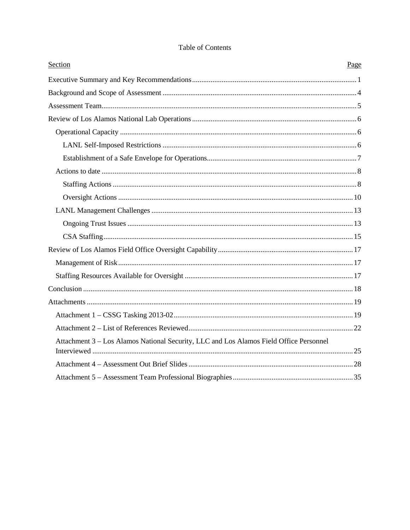| Section                                                                                | Page |
|----------------------------------------------------------------------------------------|------|
|                                                                                        |      |
|                                                                                        |      |
|                                                                                        |      |
|                                                                                        |      |
|                                                                                        |      |
|                                                                                        |      |
|                                                                                        |      |
|                                                                                        |      |
|                                                                                        |      |
|                                                                                        |      |
|                                                                                        |      |
|                                                                                        |      |
|                                                                                        |      |
|                                                                                        |      |
|                                                                                        |      |
|                                                                                        |      |
|                                                                                        |      |
|                                                                                        |      |
|                                                                                        |      |
|                                                                                        |      |
| Attachment 3 - Los Alamos National Security, LLC and Los Alamos Field Office Personnel |      |
|                                                                                        |      |
|                                                                                        |      |
|                                                                                        |      |

### Table of Contents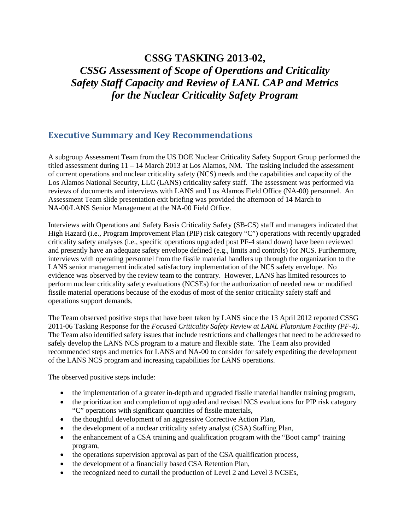# **CSSG TASKING 2013-02,** *CSSG Assessment of Scope of Operations and Criticality Safety Staff Capacity and Review of LANL CAP and Metrics for the Nuclear Criticality Safety Program*

# **Executive Summary and Key Recommendations**

A subgroup Assessment Team from the US DOE Nuclear Criticality Safety Support Group performed the titled assessment during 11 – 14 March 2013 at Los Alamos, NM. The tasking included the assessment of current operations and nuclear criticality safety (NCS) needs and the capabilities and capacity of the Los Alamos National Security, LLC (LANS) criticality safety staff. The assessment was performed via reviews of documents and interviews with LANS and Los Alamos Field Office (NA-00) personnel. An Assessment Team slide presentation exit briefing was provided the afternoon of 14 March to NA-00/LANS Senior Management at the NA-00 Field Office.

Interviews with Operations and Safety Basis Criticality Safety (SB-CS) staff and managers indicated that High Hazard (i.e., Program Improvement Plan (PIP) risk category "C") operations with recently upgraded criticality safety analyses (i.e., specific operations upgraded post PF-4 stand down) have been reviewed and presently have an adequate safety envelope defined (e.g., limits and controls) for NCS. Furthermore, interviews with operating personnel from the fissile material handlers up through the organization to the LANS senior management indicated satisfactory implementation of the NCS safety envelope. No evidence was observed by the review team to the contrary. However, LANS has limited resources to perform nuclear criticality safety evaluations (NCSEs) for the authorization of needed new or modified fissile material operations because of the exodus of most of the senior criticality safety staff and operations support demands.

The Team observed positive steps that have been taken by LANS since the 13 April 2012 reported CSSG 2011-06 Tasking Response for the *Focused Criticality Safety Review at LANL Plutonium Facility (PF-4)*. The Team also identified safety issues that include restrictions and challenges that need to be addressed to safely develop the LANS NCS program to a mature and flexible state. The Team also provided recommended steps and metrics for LANS and NA-00 to consider for safely expediting the development of the LANS NCS program and increasing capabilities for LANS operations.

The observed positive steps include:

- the implementation of a greater in-depth and upgraded fissile material handler training program,
- the prioritization and completion of upgraded and revised NCS evaluations for PIP risk category "C" operations with significant quantities of fissile materials,
- the thoughtful development of an aggressive Corrective Action Plan,
- the development of a nuclear criticality safety analyst (CSA) Staffing Plan,
- the enhancement of a CSA training and qualification program with the "Boot camp" training program,
- the operations supervision approval as part of the CSA qualification process,
- the development of a financially based CSA Retention Plan,
- the recognized need to curtail the production of Level 2 and Level 3 NCSEs,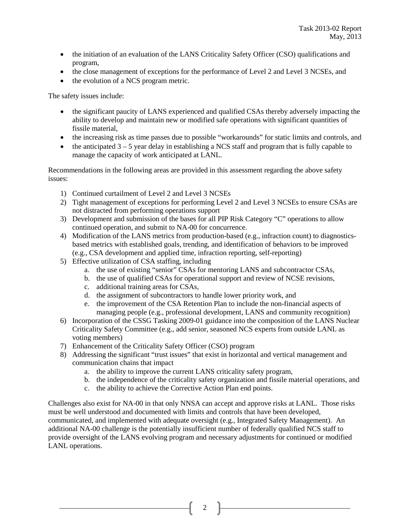- the initiation of an evaluation of the LANS Criticality Safety Officer (CSO) qualifications and program,
- the close management of exceptions for the performance of Level 2 and Level 3 NCSEs, and
- the evolution of a NCS program metric.

The safety issues include:

- the significant paucity of LANS experienced and qualified CSAs thereby adversely impacting the ability to develop and maintain new or modified safe operations with significant quantities of fissile material,
- the increasing risk as time passes due to possible "workarounds" for static limits and controls, and
- the anticipated 3 5 year delay in establishing a NCS staff and program that is fully capable to manage the capacity of work anticipated at LANL.

Recommendations in the following areas are provided in this assessment regarding the above safety issues:

- 1) Continued curtailment of Level 2 and Level 3 NCSEs
- 2) Tight management of exceptions for performing Level 2 and Level 3 NCSEs to ensure CSAs are not distracted from performing operations support
- 3) Development and submission of the bases for all PIP Risk Category "C" operations to allow continued operation, and submit to NA-00 for concurrence.
- 4) Modification of the LANS metrics from production-based (e.g., infraction count) to diagnosticsbased metrics with established goals, trending, and identification of behaviors to be improved (e.g., CSA development and applied time, infraction reporting, self-reporting)
- 5) Effective utilization of CSA staffing, including
	- a. the use of existing "senior" CSAs for mentoring LANS and subcontractor CSAs,
	- b. the use of qualified CSAs for operational support and review of NCSE revisions,
	- c. additional training areas for CSAs,
	- d. the assignment of subcontractors to handle lower priority work, and
	- e. the improvement of the CSA Retention Plan to include the non-financial aspects of managing people (e.g., professional development, LANS and community recognition)
- 6) Incorporation of the CSSG Tasking 2009-01 guidance into the composition of the LANS Nuclear Criticality Safety Committee (e.g., add senior, seasoned NCS experts from outside LANL as voting members)
- 7) Enhancement of the Criticality Safety Officer (CSO) program
- 8) Addressing the significant "trust issues" that exist in horizontal and vertical management and communication chains that impact
	- a. the ability to improve the current LANS criticality safety program,
	- b. the independence of the criticality safety organization and fissile material operations, and
	- c. the ability to achieve the Corrective Action Plan end points.

Challenges also exist for NA-00 in that only NNSA can accept and approve risks at LANL. Those risks must be well understood and documented with limits and controls that have been developed, communicated, and implemented with adequate oversight (e.g., Integrated Safety Management). An additional NA-00 challenge is the potentially insufficient number of federally qualified NCS staff to provide oversight of the LANS evolving program and necessary adjustments for continued or modified LANL operations.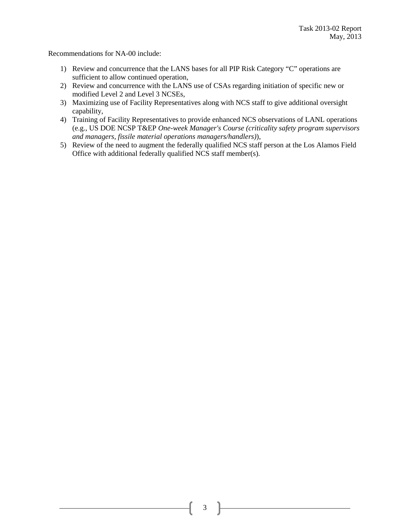Recommendations for NA-00 include:

- 1) Review and concurrence that the LANS bases for all PIP Risk Category "C" operations are sufficient to allow continued operation,
- 2) Review and concurrence with the LANS use of CSAs regarding initiation of specific new or modified Level 2 and Level 3 NCSEs,
- 3) Maximizing use of Facility Representatives along with NCS staff to give additional oversight capability,
- 4) Training of Facility Representatives to provide enhanced NCS observations of LANL operations (e.g., US DOE NCSP T&EP *One-week Manager's Course (criticality safety program supervisors and managers, fissile material operations managers/handlers)*),
- 5) Review of the need to augment the federally qualified NCS staff person at the Los Alamos Field Office with additional federally qualified NCS staff member(s).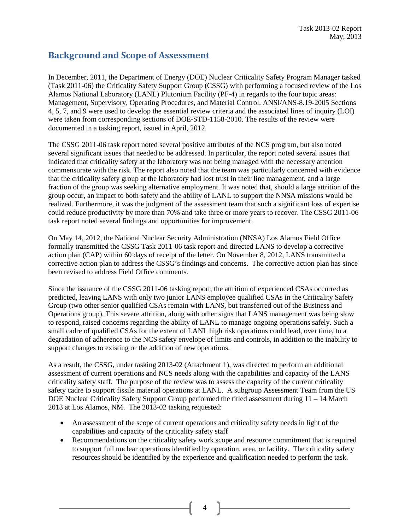# **Background and Scope of Assessment**

In December, 2011, the Department of Energy (DOE) Nuclear Criticality Safety Program Manager tasked (Task 2011-06) the Criticality Safety Support Group (CSSG) with performing a focused review of the Los Alamos National Laboratory (LANL) Plutonium Facility (PF-4) in regards to the four topic areas: Management, Supervisory, Operating Procedures, and Material Control. ANSI/ANS-8.19-2005 Sections 4, 5, 7, and 9 were used to develop the essential review criteria and the associated lines of inquiry (LOI) were taken from corresponding sections of DOE-STD-1158-2010. The results of the review were documented in a tasking report, issued in April, 2012.

The CSSG 2011-06 task report noted several positive attributes of the NCS program, but also noted several significant issues that needed to be addressed. In particular, the report noted several issues that indicated that criticality safety at the laboratory was not being managed with the necessary attention commensurate with the risk. The report also noted that the team was particularly concerned with evidence that the criticality safety group at the laboratory had lost trust in their line management, and a large fraction of the group was seeking alternative employment. It was noted that, should a large attrition of the group occur, an impact to both safety and the ability of LANL to support the NNSA missions would be realized. Furthermore, it was the judgment of the assessment team that such a significant loss of expertise could reduce productivity by more than 70% and take three or more years to recover. The CSSG 2011-06 task report noted several findings and opportunities for improvement.

On May 14, 2012, the National Nuclear Security Administration (NNSA) Los Alamos Field Office formally transmitted the CSSG Task 2011-06 task report and directed LANS to develop a corrective action plan (CAP) within 60 days of receipt of the letter. On November 8, 2012, LANS transmitted a corrective action plan to address the CSSG's findings and concerns. The corrective action plan has since been revised to address Field Office comments.

Since the issuance of the CSSG 2011-06 tasking report, the attrition of experienced CSAs occurred as predicted, leaving LANS with only two junior LANS employee qualified CSAs in the Criticality Safety Group (two other senior qualified CSAs remain with LANS, but transferred out of the Business and Operations group). This severe attrition, along with other signs that LANS management was being slow to respond, raised concerns regarding the ability of LANL to manage ongoing operations safely. Such a small cadre of qualified CSAs for the extent of LANL high risk operations could lead, over time, to a degradation of adherence to the NCS safety envelope of limits and controls, in addition to the inability to support changes to existing or the addition of new operations.

As a result, the CSSG, under tasking 2013-02 (Attachment 1), was directed to perform an additional assessment of current operations and NCS needs along with the capabilities and capacity of the LANS criticality safety staff. The purpose of the review was to assess the capacity of the current criticality safety cadre to support fissile material operations at LANL. A subgroup Assessment Team from the US DOE Nuclear Criticality Safety Support Group performed the titled assessment during 11 – 14 March 2013 at Los Alamos, NM. The 2013-02 tasking requested:

- An assessment of the scope of current operations and criticality safety needs in light of the capabilities and capacity of the criticality safety staff
- Recommendations on the criticality safety work scope and resource commitment that is required to support full nuclear operations identified by operation, area, or facility. The criticality safety resources should be identified by the experience and qualification needed to perform the task.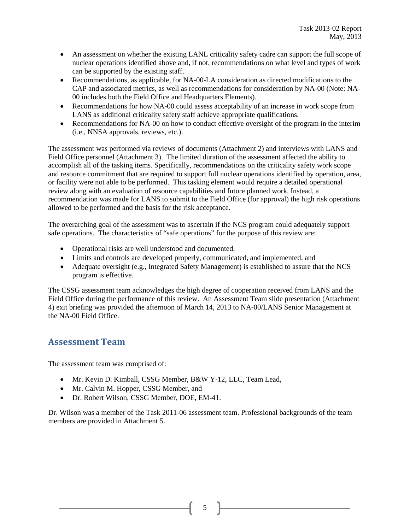- An assessment on whether the existing LANL criticality safety cadre can support the full scope of nuclear operations identified above and, if not, recommendations on what level and types of work can be supported by the existing staff.
- Recommendations, as applicable, for NA-00-LA consideration as directed modifications to the CAP and associated metrics, as well as recommendations for consideration by NA-00 (Note: NA-00 includes both the Field Office and Headquarters Elements).
- Recommendations for how NA-00 could assess acceptability of an increase in work scope from LANS as additional criticality safety staff achieve appropriate qualifications.
- Recommendations for NA-00 on how to conduct effective oversight of the program in the interim (i.e., NNSA approvals, reviews, etc.).

The assessment was performed via reviews of documents (Attachment 2) and interviews with LANS and Field Office personnel (Attachment 3). The limited duration of the assessment affected the ability to accomplish all of the tasking items. Specifically, recommendations on the criticality safety work scope and resource commitment that are required to support full nuclear operations identified by operation, area, or facility were not able to be performed. This tasking element would require a detailed operational review along with an evaluation of resource capabilities and future planned work. Instead, a recommendation was made for LANS to submit to the Field Office (for approval) the high risk operations allowed to be performed and the basis for the risk acceptance.

The overarching goal of the assessment was to ascertain if the NCS program could adequately support safe operations. The characteristics of "safe operations" for the purpose of this review are:

- Operational risks are well understood and documented,
- Limits and controls are developed properly, communicated, and implemented, and
- Adequate oversight (e.g., Integrated Safety Management) is established to assure that the NCS program is effective.

The CSSG assessment team acknowledges the high degree of cooperation received from LANS and the Field Office during the performance of this review. An Assessment Team slide presentation (Attachment 4) exit briefing was provided the afternoon of March 14, 2013 to NA-00/LANS Senior Management at the NA-00 Field Office.

### **Assessment Team**

The assessment team was comprised of:

- Mr. Kevin D. Kimball, CSSG Member, B&W Y-12, LLC, Team Lead,
- Mr. Calvin M. Hopper, CSSG Member, and
- Dr. Robert Wilson, CSSG Member, DOE, EM-41.

Dr. Wilson was a member of the Task 2011-06 assessment team. Professional backgrounds of the team members are provided in Attachment 5.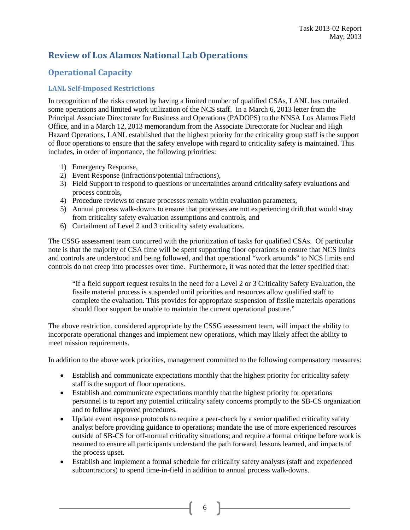# **Review of Los Alamos National Lab Operations**

### **Operational Capacity**

### **LANL Self-Imposed Restrictions**

In recognition of the risks created by having a limited number of qualified CSAs, LANL has curtailed some operations and limited work utilization of the NCS staff. In a March 6, 2013 letter from the Principal Associate Directorate for Business and Operations (PADOPS) to the NNSA Los Alamos Field Office, and in a March 12, 2013 memorandum from the Associate Directorate for Nuclear and High Hazard Operations, LANL established that the highest priority for the criticality group staff is the support of floor operations to ensure that the safety envelope with regard to criticality safety is maintained. This includes, in order of importance, the following priorities:

- 1) Emergency Response,
- 2) Event Response (infractions/potential infractions),
- 3) Field Support to respond to questions or uncertainties around criticality safety evaluations and process controls,
- 4) Procedure reviews to ensure processes remain within evaluation parameters,
- 5) Annual process walk-downs to ensure that processes are not experiencing drift that would stray from criticality safety evaluation assumptions and controls, and
- 6) Curtailment of Level 2 and 3 criticality safety evaluations.

The CSSG assessment team concurred with the prioritization of tasks for qualified CSAs. Of particular note is that the majority of CSA time will be spent supporting floor operations to ensure that NCS limits and controls are understood and being followed, and that operational "work arounds" to NCS limits and controls do not creep into processes over time. Furthermore, it was noted that the letter specified that:

"If a field support request results in the need for a Level 2 or 3 Criticality Safety Evaluation, the fissile material process is suspended until priorities and resources allow qualified staff to complete the evaluation. This provides for appropriate suspension of fissile materials operations should floor support be unable to maintain the current operational posture."

The above restriction, considered appropriate by the CSSG assessment team, will impact the ability to incorporate operational changes and implement new operations, which may likely affect the ability to meet mission requirements.

In addition to the above work priorities, management committed to the following compensatory measures:

- Establish and communicate expectations monthly that the highest priority for criticality safety staff is the support of floor operations.
- Establish and communicate expectations monthly that the highest priority for operations personnel is to report any potential criticality safety concerns promptly to the SB-CS organization and to follow approved procedures.
- Update event response protocols to require a peer-check by a senior qualified criticality safety analyst before providing guidance to operations; mandate the use of more experienced resources outside of SB-CS for off-normal criticality situations; and require a formal critique before work is resumed to ensure all participants understand the path forward, lessons learned, and impacts of the process upset.
- Establish and implement a formal schedule for criticality safety analysts (staff and experienced subcontractors) to spend time-in-field in addition to annual process walk-downs.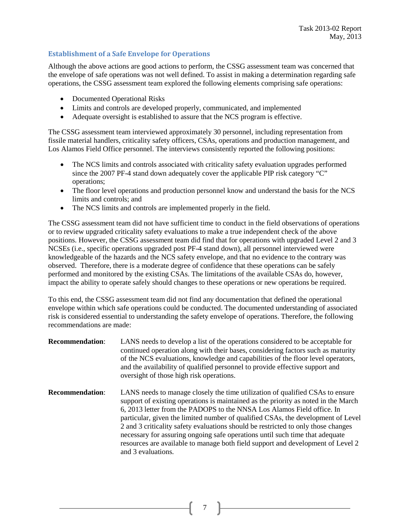### **Establishment of a Safe Envelope for Operations**

Although the above actions are good actions to perform, the CSSG assessment team was concerned that the envelope of safe operations was not well defined. To assist in making a determination regarding safe operations, the CSSG assessment team explored the following elements comprising safe operations:

- Documented Operational Risks
- Limits and controls are developed properly, communicated, and implemented
- Adequate oversight is established to assure that the NCS program is effective.

The CSSG assessment team interviewed approximately 30 personnel, including representation from fissile material handlers, criticality safety officers, CSAs, operations and production management, and Los Alamos Field Office personnel. The interviews consistently reported the following positions:

- The NCS limits and controls associated with criticality safety evaluation upgrades performed since the 2007 PF-4 stand down adequately cover the applicable PIP risk category "C" operations;
- The floor level operations and production personnel know and understand the basis for the NCS limits and controls; and
- The NCS limits and controls are implemented properly in the field.

The CSSG assessment team did not have sufficient time to conduct in the field observations of operations or to review upgraded criticality safety evaluations to make a true independent check of the above positions. However, the CSSG assessment team did find that for operations with upgraded Level 2 and 3 NCSEs (i.e., specific operations upgraded post PF-4 stand down), all personnel interviewed were knowledgeable of the hazards and the NCS safety envelope, and that no evidence to the contrary was observed. Therefore, there is a moderate degree of confidence that these operations can be safely performed and monitored by the existing CSAs. The limitations of the available CSAs do, however, impact the ability to operate safely should changes to these operations or new operations be required.

To this end, the CSSG assessment team did not find any documentation that defined the operational envelope within which safe operations could be conducted. The documented understanding of associated risk is considered essential to understanding the safety envelope of operations. Therefore, the following recommendations are made:

| <b>Recommendation:</b> | LANS needs to develop a list of the operations considered to be acceptable for<br>continued operation along with their bases, considering factors such as maturity<br>of the NCS evaluations, knowledge and capabilities of the floor level operators,<br>and the availability of qualified personnel to provide effective support and<br>oversight of those high risk operations.                                                                                                                                                                                                                              |
|------------------------|-----------------------------------------------------------------------------------------------------------------------------------------------------------------------------------------------------------------------------------------------------------------------------------------------------------------------------------------------------------------------------------------------------------------------------------------------------------------------------------------------------------------------------------------------------------------------------------------------------------------|
| <b>Recommendation:</b> | LANS needs to manage closely the time utilization of qualified CSAs to ensure<br>support of existing operations is maintained as the priority as noted in the March<br>6, 2013 letter from the PADOPS to the NNSA Los Alamos Field office. In<br>particular, given the limited number of qualified CSAs, the development of Level<br>2 and 3 criticality safety evaluations should be restricted to only those changes<br>necessary for assuring ongoing safe operations until such time that adequate<br>resources are available to manage both field support and development of Level 2<br>and 3 evaluations. |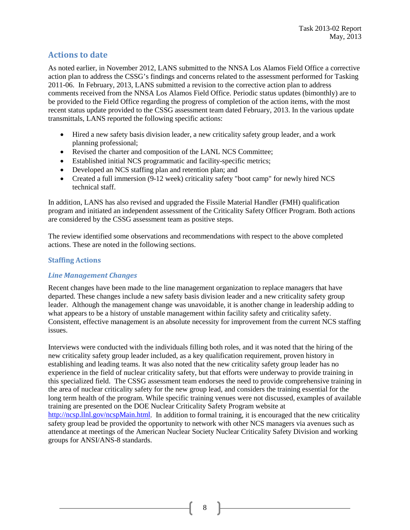### **Actions to date**

As noted earlier, in November 2012, LANS submitted to the NNSA Los Alamos Field Office a corrective action plan to address the CSSG's findings and concerns related to the assessment performed for Tasking 2011-06. In February, 2013, LANS submitted a revision to the corrective action plan to address comments received from the NNSA Los Alamos Field Office. Periodic status updates (bimonthly) are to be provided to the Field Office regarding the progress of completion of the action items, with the most recent status update provided to the CSSG assessment team dated February, 2013. In the various update transmittals, LANS reported the following specific actions:

- Hired a new safety basis division leader, a new criticality safety group leader, and a work planning professional;
- Revised the charter and composition of the LANL NCS Committee;
- Established initial NCS programmatic and facility-specific metrics;
- Developed an NCS staffing plan and retention plan; and
- Created a full immersion (9-12 week) criticality safety "boot camp" for newly hired NCS technical staff.

In addition, LANS has also revised and upgraded the Fissile Material Handler (FMH) qualification program and initiated an independent assessment of the Criticality Safety Officer Program. Both actions are considered by the CSSG assessment team as positive steps.

The review identified some observations and recommendations with respect to the above completed actions. These are noted in the following sections.

### **Staffing Actions**

#### *Line Management Changes*

Recent changes have been made to the line management organization to replace managers that have departed. These changes include a new safety basis division leader and a new criticality safety group leader. Although the management change was unavoidable, it is another change in leadership adding to what appears to be a history of unstable management within facility safety and criticality safety. Consistent, effective management is an absolute necessity for improvement from the current NCS staffing issues.

Interviews were conducted with the individuals filling both roles, and it was noted that the hiring of the new criticality safety group leader included, as a key qualification requirement, proven history in establishing and leading teams. It was also noted that the new criticality safety group leader has no experience in the field of nuclear criticality safety, but that efforts were underway to provide training in this specialized field. The CSSG assessment team endorses the need to provide comprehensive training in the area of nuclear criticality safety for the new group lead, and considers the training essential for the long term health of the program. While specific training venues were not discussed, examples of available training are presented on the DOE Nuclear Criticality Safety Program website at [http://ncsp.llnl.gov/ncspMain.html.](http://ncsp.llnl.gov/ncspMain.html) In addition to formal training, it is encouraged that the new criticality safety group lead be provided the opportunity to network with other NCS managers via avenues such as attendance at meetings of the American Nuclear Society Nuclear Criticality Safety Division and working groups for ANSI/ANS-8 standards.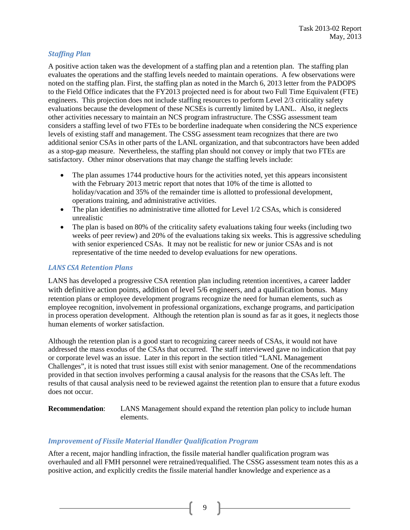### *Staffing Plan*

A positive action taken was the development of a staffing plan and a retention plan. The staffing plan evaluates the operations and the staffing levels needed to maintain operations. A few observations were noted on the staffing plan. First, the staffing plan as noted in the March 6, 2013 letter from the PADOPS to the Field Office indicates that the FY2013 projected need is for about two Full Time Equivalent (FTE) engineers. This projection does not include staffing resources to perform Level 2/3 criticality safety evaluations because the development of these NCSEs is currently limited by LANL. Also, it neglects other activities necessary to maintain an NCS program infrastructure. The CSSG assessment team considers a staffing level of two FTEs to be borderline inadequate when considering the NCS experience levels of existing staff and management. The CSSG assessment team recognizes that there are two additional senior CSAs in other parts of the LANL organization, and that subcontractors have been added as a stop-gap measure. Nevertheless, the staffing plan should not convey or imply that two FTEs are satisfactory. Other minor observations that may change the staffing levels include:

- The plan assumes 1744 productive hours for the activities noted, yet this appears inconsistent with the February 2013 metric report that notes that 10% of the time is allotted to holiday/vacation and 35% of the remainder time is allotted to professional development, operations training, and administrative activities.
- The plan identifies no administrative time allotted for Level 1/2 CSAs, which is considered unrealistic
- The plan is based on 80% of the criticality safety evaluations taking four weeks (including two weeks of peer review) and 20% of the evaluations taking six weeks. This is aggressive scheduling with senior experienced CSAs. It may not be realistic for new or junior CSAs and is not representative of the time needed to develop evaluations for new operations.

#### *LANS CSA Retention Plans*

LANS has developed a progressive CSA retention plan including retention incentives, a career ladder with definitive action points, addition of level 5/6 engineers, and a qualification bonus. Many retention plans or employee development programs recognize the need for human elements, such as employee recognition, involvement in professional organizations, exchange programs, and participation in process operation development. Although the retention plan is sound as far as it goes, it neglects those human elements of worker satisfaction.

Although the retention plan is a good start to recognizing career needs of CSAs, it would not have addressed the mass exodus of the CSAs that occurred. The staff interviewed gave no indication that pay or corporate level was an issue. Later in this report in the section titled "LANL Management Challenges", it is noted that trust issues still exist with senior management. One of the recommendations provided in that section involves performing a causal analysis for the reasons that the CSAs left. The results of that causal analysis need to be reviewed against the retention plan to ensure that a future exodus does not occur.

**Recommendation**: LANS Management should expand the retention plan policy to include human elements.

#### *Improvement of Fissile Material Handler Qualification Program*

After a recent, major handling infraction, the fissile material handler qualification program was overhauled and all FMH personnel were retrained/requalified. The CSSG assessment team notes this as a positive action, and explicitly credits the fissile material handler knowledge and experience as a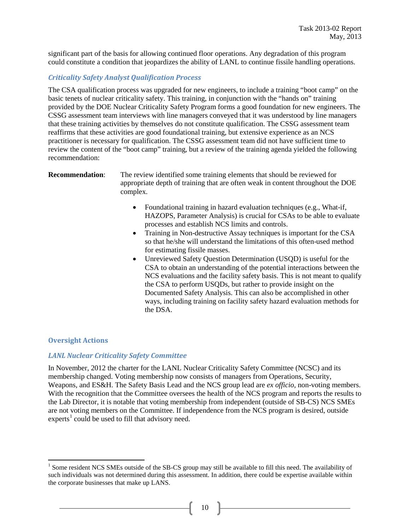significant part of the basis for allowing continued floor operations. Any degradation of this program could constitute a condition that jeopardizes the ability of LANL to continue fissile handling operations.

#### *Criticality Safety Analyst Qualification Process*

The CSA qualification process was upgraded for new engineers, to include a training "boot camp" on the basic tenets of nuclear criticality safety. This training, in conjunction with the "hands on" training provided by the DOE Nuclear Criticality Safety Program forms a good foundation for new engineers. The CSSG assessment team interviews with line managers conveyed that it was understood by line managers that these training activities by themselves do not constitute qualification. The CSSG assessment team reaffirms that these activities are good foundational training, but extensive experience as an NCS practitioner is necessary for qualification. The CSSG assessment team did not have sufficient time to review the content of the "boot camp" training, but a review of the training agenda yielded the following recommendation:

**Recommendation**: The review identified some training elements that should be reviewed for appropriate depth of training that are often weak in content throughout the DOE complex.

- Foundational training in hazard evaluation techniques (e.g., What-if, HAZOPS, Parameter Analysis) is crucial for CSAs to be able to evaluate processes and establish NCS limits and controls.
- Training in Non-destructive Assay techniques is important for the CSA so that he/she will understand the limitations of this often-used method for estimating fissile masses.
- Unreviewed Safety Question Determination (USQD) is useful for the CSA to obtain an understanding of the potential interactions between the NCS evaluations and the facility safety basis. This is not meant to qualify the CSA to perform USQDs, but rather to provide insight on the Documented Safety Analysis. This can also be accomplished in other ways, including training on facility safety hazard evaluation methods for the DSA.

#### **Oversight Actions**

#### *LANL Nuclear Criticality Safety Committee*

In November, 2012 the charter for the LANL Nuclear Criticality Safety Committee (NCSC) and its membership changed. Voting membership now consists of managers from Operations, Security, Weapons, and ES&H. The Safety Basis Lead and the NCS group lead are *ex officio,* non-voting members. With the recognition that the Committee oversees the health of the NCS program and reports the results to the Lab Director, it is notable that voting membership from independent (outside of SB-CS) NCS SMEs are not voting members on the Committee. If independence from the NCS program is desired, outside  $exports<sup>1</sup>$  $exports<sup>1</sup>$  $exports<sup>1</sup>$  could be used to fill that advisory need.

<span id="page-11-1"></span><span id="page-11-0"></span><sup>&</sup>lt;sup>1</sup> Some resident NCS SMEs outside of the SB-CS group may still be available to fill this need. The availability of such individuals was not determined during this assessment. In addition, there could be expertise available within the corporate businesses that make up LANS.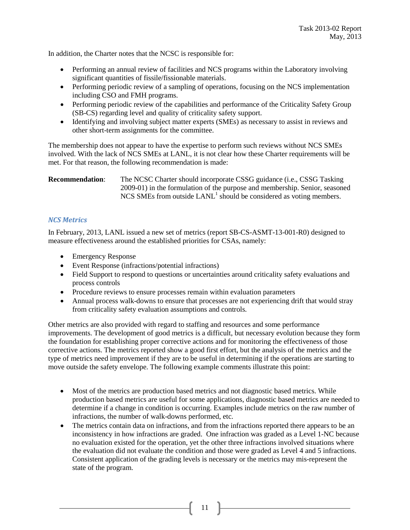In addition, the Charter notes that the NCSC is responsible for:

- Performing an annual review of facilities and NCS programs within the Laboratory involving significant quantities of fissile/fissionable materials.
- Performing periodic review of a sampling of operations, focusing on the NCS implementation including CSO and FMH programs.
- Performing periodic review of the capabilities and performance of the Criticality Safety Group (SB-CS) regarding level and quality of criticality safety support.
- Identifying and involving subject matter experts (SMEs) as necessary to assist in reviews and other short-term assignments for the committee.

The membership does not appear to have the expertise to perform such reviews without NCS SMEs involved. With the lack of NCS SMEs at LANL, it is not clear how these Charter requirements will be met. For that reason, the following recommendation is made:

**Recommendation:** The NCSC Charter should incorporate CSSG guidance (i.e., CSSG Tasking 2009-01) in the formulation of the purpose and membership. Senior, seasoned NCS SMEs from outside  $LANL<sup>1</sup>$  should be considered as voting members.

### *NCS Metrics*

In February, 2013, LANL issued a new set of metrics (report SB-CS-ASMT-13-001-R0) designed to measure effectiveness around the established priorities for CSAs, namely:

- Emergency Response
- Event Response (infractions/potential infractions)
- Field Support to respond to questions or uncertainties around criticality safety evaluations and process controls
- Procedure reviews to ensure processes remain within evaluation parameters
- Annual process walk-downs to ensure that processes are not experiencing drift that would stray from criticality safety evaluation assumptions and controls.

Other metrics are also provided with regard to staffing and resources and some performance improvements. The development of good metrics is a difficult, but necessary evolution because they form the foundation for establishing proper corrective actions and for monitoring the effectiveness of those corrective actions. The metrics reported show a good first effort, but the analysis of the metrics and the type of metrics need improvement if they are to be useful in determining if the operations are starting to move outside the safety envelope. The following example comments illustrate this point:

- Most of the metrics are production based metrics and not diagnostic based metrics. While production based metrics are useful for some applications, diagnostic based metrics are needed to determine if a change in condition is occurring. Examples include metrics on the raw number of infractions, the number of walk-downs performed, etc.
- The metrics contain data on infractions, and from the infractions reported there appears to be an inconsistency in how infractions are graded. One infraction was graded as a Level 1-NC because no evaluation existed for the operation, yet the other three infractions involved situations where the evaluation did not evaluate the condition and those were graded as Level 4 and 5 infractions. Consistent application of the grading levels is necessary or the metrics may mis-represent the state of the program.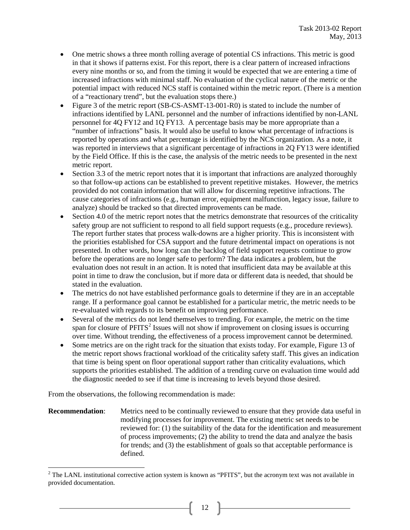- One metric shows a three month rolling average of potential CS infractions. This metric is good in that it shows if patterns exist. For this report, there is a clear pattern of increased infractions every nine months or so, and from the timing it would be expected that we are entering a time of increased infractions with minimal staff. No evaluation of the cyclical nature of the metric or the potential impact with reduced NCS staff is contained within the metric report. (There is a mention of a "reactionary trend", but the evaluation stops there.)
- Figure 3 of the metric report (SB-CS-ASMT-13-001-R0) is stated to include the number of infractions identified by LANL personnel and the number of infractions identified by non-LANL personnel for 4Q FY12 and 1Q FY13. A percentage basis may be more appropriate than a "number of infractions" basis. It would also be useful to know what percentage of infractions is reported by operations and what percentage is identified by the NCS organization. As a note, it was reported in interviews that a significant percentage of infractions in 2Q FY13 were identified by the Field Office. If this is the case, the analysis of the metric needs to be presented in the next metric report.
- Section 3.3 of the metric report notes that it is important that infractions are analyzed thoroughly so that follow-up actions can be established to prevent repetitive mistakes. However, the metrics provided do not contain information that will allow for discerning repetitive infractions. The cause categories of infractions (e.g., human error, equipment malfunction, legacy issue, failure to analyze) should be tracked so that directed improvements can be made.
- Section 4.0 of the metric report notes that the metrics demonstrate that resources of the criticality safety group are not sufficient to respond to all field support requests (e.g., procedure reviews). The report further states that process walk-downs are a higher priority. This is inconsistent with the priorities established for CSA support and the future detrimental impact on operations is not presented. In other words, how long can the backlog of field support requests continue to grow before the operations are no longer safe to perform? The data indicates a problem, but the evaluation does not result in an action. It is noted that insufficient data may be available at this point in time to draw the conclusion, but if more data or different data is needed, that should be stated in the evaluation.
- The metrics do not have established performance goals to determine if they are in an acceptable range. If a performance goal cannot be established for a particular metric, the metric needs to be re-evaluated with regards to its benefit on improving performance.
- Several of the metrics do not lend themselves to trending. For example, the metric on the time span for closure of  $PFTTS<sup>2</sup>$  $PFTTS<sup>2</sup>$  $PFTTS<sup>2</sup>$  Issues will not show if improvement on closing issues is occurring over time. Without trending, the effectiveness of a process improvement cannot be determined.
- Some metrics are on the right track for the situation that exists today. For example, Figure 13 of the metric report shows fractional workload of the criticality safety staff. This gives an indication that time is being spent on floor operational support rather than criticality evaluations, which supports the priorities established. The addition of a trending curve on evaluation time would add the diagnostic needed to see if that time is increasing to levels beyond those desired.

From the observations, the following recommendation is made:

**Recommendation:** Metrics need to be continually reviewed to ensure that they provide data useful in modifying processes for improvement. The existing metric set needs to be reviewed for: (1) the suitability of the data for the identification and measurement of process improvements; (2) the ability to trend the data and analyze the basis for trends; and (3) the establishment of goals so that acceptable performance is defined.

<span id="page-13-0"></span> $2$  The LANL institutional corrective action system is known as "PFITS", but the acronym text was not available in provided documentation.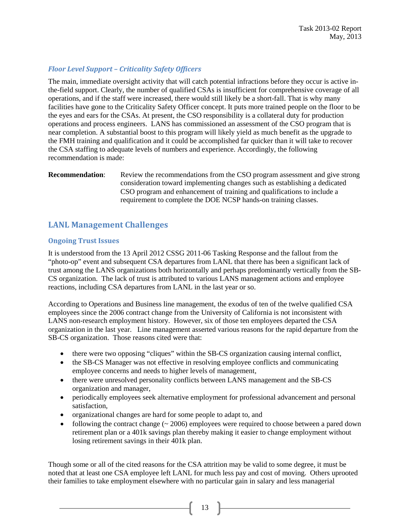### *Floor Level Support – Criticality Safety Officers*

The main, immediate oversight activity that will catch potential infractions before they occur is active inthe-field support. Clearly, the number of qualified CSAs is insufficient for comprehensive coverage of all operations, and if the staff were increased, there would still likely be a short-fall. That is why many facilities have gone to the Criticality Safety Officer concept. It puts more trained people on the floor to be the eyes and ears for the CSAs. At present, the CSO responsibility is a collateral duty for production operations and process engineers. LANS has commissioned an assessment of the CSO program that is near completion. A substantial boost to this program will likely yield as much benefit as the upgrade to the FMH training and qualification and it could be accomplished far quicker than it will take to recover the CSA staffing to adequate levels of numbers and experience. Accordingly, the following recommendation is made:

**Recommendation:** Review the recommendations from the CSO program assessment and give strong consideration toward implementing changes such as establishing a dedicated CSO program and enhancement of training and qualifications to include a requirement to complete the DOE NCSP hands-on training classes.

### **LANL Management Challenges**

### **Ongoing Trust Issues**

It is understood from the 13 April 2012 CSSG 2011-06 Tasking Response and the fallout from the "photo-op" event and subsequent CSA departures from LANL that there has been a significant lack of trust among the LANS organizations both horizontally and perhaps predominantly vertically from the SB-CS organization. The lack of trust is attributed to various LANS management actions and employee reactions, including CSA departures from LANL in the last year or so.

According to Operations and Business line management, the exodus of ten of the twelve qualified CSA employees since the 2006 contract change from the University of California is not inconsistent with LANS non-research employment history. However, six of those ten employees departed the CSA organization in the last year. Line management asserted various reasons for the rapid departure from the SB-CS organization. Those reasons cited were that:

- there were two opposing "cliques" within the SB-CS organization causing internal conflict,
- the SB-CS Manager was not effective in resolving employee conflicts and communicating employee concerns and needs to higher levels of management,
- there were unresolved personality conflicts between LANS management and the SB-CS organization and manager,
- periodically employees seek alternative employment for professional advancement and personal satisfaction,
- organizational changes are hard for some people to adapt to, and
- following the contract change  $(\sim 2006)$  employees were required to choose between a pared down retirement plan or a 401k savings plan thereby making it easier to change employment without losing retirement savings in their 401k plan.

Though some or all of the cited reasons for the CSA attrition may be valid to some degree, it must be noted that at least one CSA employee left LANL for much less pay and cost of moving. Others uprooted their families to take employment elsewhere with no particular gain in salary and less managerial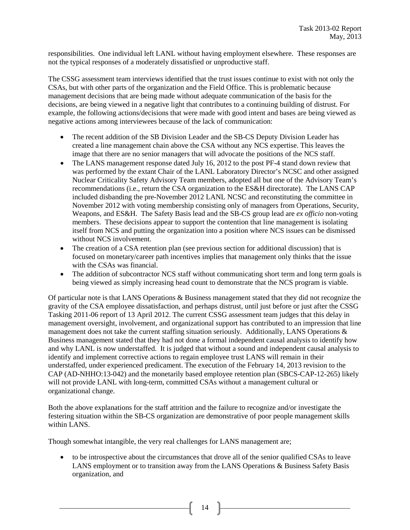responsibilities. One individual left LANL without having employment elsewhere. These responses are not the typical responses of a moderately dissatisfied or unproductive staff.

The CSSG assessment team interviews identified that the trust issues continue to exist with not only the CSAs, but with other parts of the organization and the Field Office. This is problematic because management decisions that are being made without adequate communication of the basis for the decisions, are being viewed in a negative light that contributes to a continuing building of distrust. For example, the following actions/decisions that were made with good intent and bases are being viewed as negative actions among interviewees because of the lack of communication:

- The recent addition of the SB Division Leader and the SB-CS Deputy Division Leader has created a line management chain above the CSA without any NCS expertise. This leaves the image that there are no senior managers that will advocate the positions of the NCS staff.
- The LANS management response dated July 16, 2012 to the post PF-4 stand down review that was performed by the extant Chair of the LANL Laboratory Director's NCSC and other assigned Nuclear Criticality Safety Advisory Team members, adopted all but one of the Advisory Team's recommendations (i.e., return the CSA organization to the ES&H directorate). The LANS CAP included disbanding the pre-November 2012 LANL NCSC and reconstituting the committee in November 2012 with voting membership consisting only of managers from Operations, Security, Weapons, and ES&H. The Safety Basis lead and the SB-CS group lead are *ex officio* non-voting members. These decisions appear to support the contention that line management is isolating itself from NCS and putting the organization into a position where NCS issues can be dismissed without NCS involvement.
- The creation of a CSA retention plan (see previous section for additional discussion) that is focused on monetary/career path incentives implies that management only thinks that the issue with the CSAs was financial.
- The addition of subcontractor NCS staff without communicating short term and long term goals is being viewed as simply increasing head count to demonstrate that the NCS program is viable.

Of particular note is that LANS Operations & Business management stated that they did not recognize the gravity of the CSA employee dissatisfaction, and perhaps distrust, until just before or just after the CSSG Tasking 2011-06 report of 13 April 2012. The current CSSG assessment team judges that this delay in management oversight, involvement, and organizational support has contributed to an impression that line management does not take the current staffing situation seriously. Additionally, LANS Operations & Business management stated that they had not done a formal independent causal analysis to identify how and why LANL is now understaffed. It is judged that without a sound and independent causal analysis to identify and implement corrective actions to regain employee trust LANS will remain in their understaffed, under experienced predicament. The execution of the February 14, 2013 revision to the CAP (AD-NHHO:13-042) and the monetarily based employee retention plan (SBCS-CAP-12-265) likely will not provide LANL with long-term, committed CSAs without a management cultural or organizational change.

Both the above explanations for the staff attrition and the failure to recognize and/or investigate the festering situation within the SB-CS organization are demonstrative of poor people management skills within LANS.

Though somewhat intangible, the very real challenges for LANS management are;

• to be introspective about the circumstances that drove all of the senior qualified CSAs to leave LANS employment or to transition away from the LANS Operations & Business Safety Basis organization, and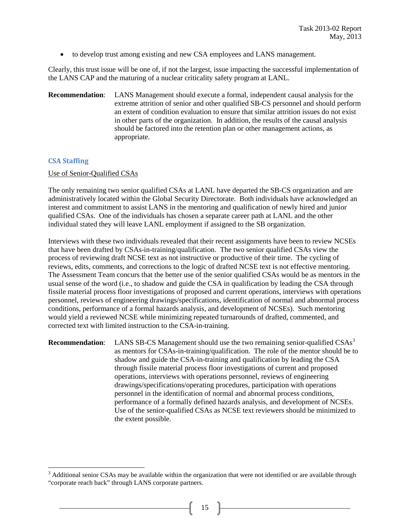• to develop trust among existing and new CSA employees and LANS management.

Clearly, this trust issue will be one of, if not the largest, issue impacting the successful implementation of the LANS CAP and the maturing of a nuclear criticality safety program at LANL.

**Recommendation**: LANS Management should execute a formal, independent causal analysis for the extreme attrition of senior and other qualified SB-CS personnel and should perform an extent of condition evaluation to ensure that similar attrition issues do not exist in other parts of the organization. In addition, the results of the causal analysis should be factored into the retention plan or other management actions, as appropriate.

#### **CSA Staffing**

#### Use of Senior-Qualified CSAs

The only remaining two senior qualified CSAs at LANL have departed the SB-CS organization and are administratively located within the Global Security Directorate. Both individuals have acknowledged an interest and commitment to assist LANS in the mentoring and qualification of newly hired and junior qualified CSAs. One of the individuals has chosen a separate career path at LANL and the other individual stated they will leave LANL employment if assigned to the SB organization.

Interviews with these two individuals revealed that their recent assignments have been to review NCSEs that have been drafted by CSAs-in-training/qualification. The two senior qualified CSAs view the process of reviewing draft NCSE text as not instructive or productive of their time. The cycling of reviews, edits, comments, and corrections to the logic of drafted NCSE text is not effective mentoring. The Assessment Team concurs that the better use of the senior qualified CSAs would be as mentors in the usual sense of the word (i.e., to shadow and guide the CSA in qualification by leading the CSA through fissile material process floor investigations of proposed and current operations, interviews with operations personnel, reviews of engineering drawings/specifications, identification of normal and abnormal process conditions, performance of a formal hazards analysis, and development of NCSEs). Such mentoring would yield a reviewed NCSE while minimizing repeated turnarounds of drafted, commented, and corrected text with limited instruction to the CSA-in-training.

**Recommendation:** LANS SB-CS Management should use the two remaining senior-qualified CSAs<sup>[3](#page-16-0)</sup> as mentors for CSAs-in-training/qualification. The role of the mentor should be to shadow and guide the CSA-in-training and qualification by leading the CSA through fissile material process floor investigations of current and proposed operations, interviews with operations personnel, reviews of engineering drawings/specifications/operating procedures, participation with operations personnel in the identification of normal and abnormal process conditions, performance of a formally defined hazards analysis, and development of NCSEs. Use of the senior-qualified CSAs as NCSE text reviewers should be minimized to the extent possible.

<span id="page-16-0"></span> $3$  Additional senior CSAs may be available within the organization that were not identified or are available through "corporate reach back" through LANS corporate partners.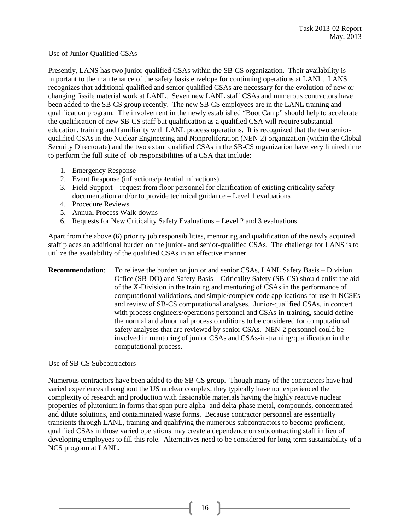#### Use of Junior-Qualified CSAs

Presently, LANS has two junior-qualified CSAs within the SB-CS organization. Their availability is important to the maintenance of the safety basis envelope for continuing operations at LANL. LANS recognizes that additional qualified and senior qualified CSAs are necessary for the evolution of new or changing fissile material work at LANL. Seven new LANL staff CSAs and numerous contractors have been added to the SB-CS group recently. The new SB-CS employees are in the LANL training and qualification program. The involvement in the newly established "Boot Camp" should help to accelerate the qualification of new SB-CS staff but qualification as a qualified CSA will require substantial education, training and familiarity with LANL process operations. It is recognized that the two seniorqualified CSAs in the Nuclear Engineering and Nonproliferation (NEN-2) organization (within the Global Security Directorate) and the two extant qualified CSAs in the SB-CS organization have very limited time to perform the full suite of job responsibilities of a CSA that include:

- 1. Emergency Response
- 2. Event Response (infractions/potential infractions)
- 3. Field Support request from floor personnel for clarification of existing criticality safety documentation and/or to provide technical guidance – Level 1 evaluations
- 4. Procedure Reviews
- 5. Annual Process Walk-downs
- 6. Requests for New Criticality Safety Evaluations Level 2 and 3 evaluations.

Apart from the above (6) priority job responsibilities, mentoring and qualification of the newly acquired staff places an additional burden on the junior- and senior-qualified CSAs. The challenge for LANS is to utilize the availability of the qualified CSAs in an effective manner.

**Recommendation**: To relieve the burden on junior and senior CSAs, LANL Safety Basis – Division Office (SB-DO) and Safety Basis – Criticality Safety (SB-CS) should enlist the aid of the X-Division in the training and mentoring of CSAs in the performance of computational validations, and simple/complex code applications for use in NCSEs and review of SB-CS computational analyses. Junior-qualified CSAs, in concert with process engineers/operations personnel and CSAs-in-training, should define the normal and abnormal process conditions to be considered for computational safety analyses that are reviewed by senior CSAs. NEN-2 personnel could be involved in mentoring of junior CSAs and CSAs-in-training/qualification in the computational process.

#### Use of SB-CS Subcontractors

Numerous contractors have been added to the SB-CS group. Though many of the contractors have had varied experiences throughout the US nuclear complex, they typically have not experienced the complexity of research and production with fissionable materials having the highly reactive nuclear properties of plutonium in forms that span pure alpha- and delta-phase metal, compounds, concentrated and dilute solutions, and contaminated waste forms. Because contractor personnel are essentially transients through LANL, training and qualifying the numerous subcontractors to become proficient, qualified CSAs in those varied operations may create a dependence on subcontracting staff in lieu of developing employees to fill this role. Alternatives need to be considered for long-term sustainability of a NCS program at LANL.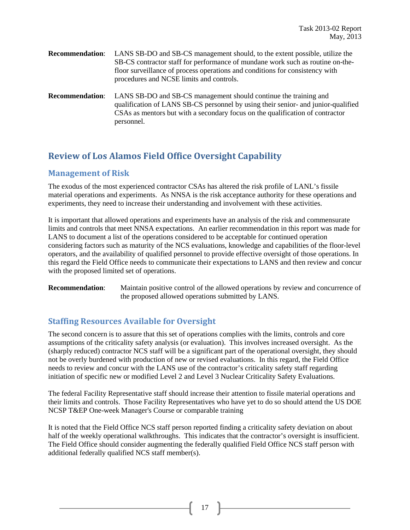- **Recommendation**: LANS SB-DO and SB-CS management should, to the extent possible, utilize the SB-CS contractor staff for performance of mundane work such as routine on-thefloor surveillance of process operations and conditions for consistency with procedures and NCSE limits and controls.
- **Recommendation**: LANS SB-DO and SB-CS management should continue the training and qualification of LANS SB-CS personnel by using their senior- and junior-qualified CSAs as mentors but with a secondary focus on the qualification of contractor personnel.

# **Review of Los Alamos Field Office Oversight Capability**

### **Management of Risk**

The exodus of the most experienced contractor CSAs has altered the risk profile of LANL's fissile material operations and experiments. As NNSA is the risk acceptance authority for these operations and experiments, they need to increase their understanding and involvement with these activities.

It is important that allowed operations and experiments have an analysis of the risk and commensurate limits and controls that meet NNSA expectations. An earlier recommendation in this report was made for LANS to document a list of the operations considered to be acceptable for continued operation considering factors such as maturity of the NCS evaluations, knowledge and capabilities of the floor-level operators, and the availability of qualified personnel to provide effective oversight of those operations. In this regard the Field Office needs to communicate their expectations to LANS and then review and concur with the proposed limited set of operations.

**Recommendation:** Maintain positive control of the allowed operations by review and concurrence of the proposed allowed operations submitted by LANS.

### **Staffing Resources Available for Oversight**

The second concern is to assure that this set of operations complies with the limits, controls and core assumptions of the criticality safety analysis (or evaluation). This involves increased oversight. As the (sharply reduced) contractor NCS staff will be a significant part of the operational oversight, they should not be overly burdened with production of new or revised evaluations. In this regard, the Field Office needs to review and concur with the LANS use of the contractor's criticality safety staff regarding initiation of specific new or modified Level 2 and Level 3 Nuclear Criticality Safety Evaluations.

The federal Facility Representative staff should increase their attention to fissile material operations and their limits and controls. Those Facility Representatives who have yet to do so should attend the US DOE NCSP T&EP One-week Manager's Course or comparable training

It is noted that the Field Office NCS staff person reported finding a criticality safety deviation on about half of the weekly operational walkthroughs. This indicates that the contractor's oversight is insufficient. The Field Office should consider augmenting the federally qualified Field Office NCS staff person with additional federally qualified NCS staff member(s).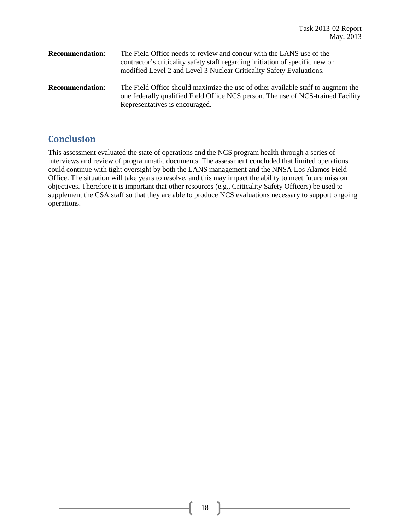| <b>Recommendation:</b> | The Field Office needs to review and concur with the LANS use of the<br>contractor's criticality safety staff regarding initiation of specific new or<br>modified Level 2 and Level 3 Nuclear Criticality Safety Evaluations. |
|------------------------|-------------------------------------------------------------------------------------------------------------------------------------------------------------------------------------------------------------------------------|
| <b>Recommendation:</b> | The Field Office should maximize the use of other available staff to augment the<br>one federally qualified Field Office NCS person. The use of NCS-trained Facility<br>Representatives is encouraged.                        |

# **Conclusion**

This assessment evaluated the state of operations and the NCS program health through a series of interviews and review of programmatic documents. The assessment concluded that limited operations could continue with tight oversight by both the LANS management and the NNSA Los Alamos Field Office. The situation will take years to resolve, and this may impact the ability to meet future mission objectives. Therefore it is important that other resources (e.g., Criticality Safety Officers) be used to supplement the CSA staff so that they are able to produce NCS evaluations necessary to support ongoing operations.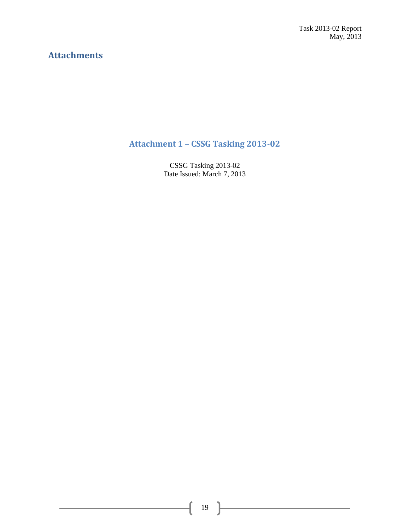Task 2013-02 Report May, 2013

# **Attachments**

# **Attachment 1 – CSSG Tasking 2013-02**

CSSG Tasking 2013-02 Date Issued: March 7, 2013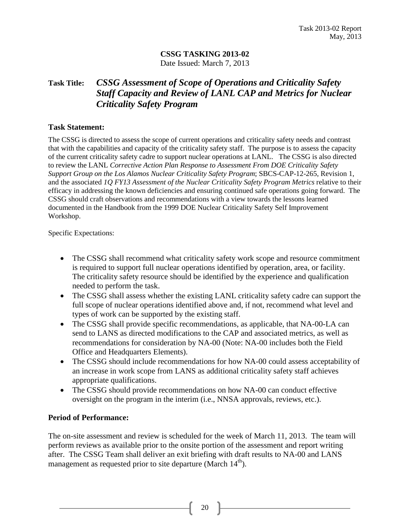### **CSSG TASKING 2013-02** Date Issued: March 7, 2013

## **Task Title:** *CSSG Assessment of Scope of Operations and Criticality Safety Staff Capacity and Review of LANL CAP and Metrics for Nuclear Criticality Safety Program*

### **Task Statement:**

The CSSG is directed to assess the scope of current operations and criticality safety needs and contrast that with the capabilities and capacity of the criticality safety staff. The purpose is to assess the capacity of the current criticality safety cadre to support nuclear operations at LANL. The CSSG is also directed to review the LANL *Corrective Action Plan Response to Assessment From DOE Criticality Safety Support Group on the Los Alamos Nuclear Criticality Safety Program*; SBCS-CAP-12-265, Revision 1, and the associated *1Q FY13 Assessment of the Nuclear Criticality Safety Program Metrics* relative to their efficacy in addressing the known deficiencies and ensuring continued safe operations going forward. The CSSG should craft observations and recommendations with a view towards the lessons learned documented in the Handbook from the 1999 DOE Nuclear Criticality Safety Self Improvement Workshop.

Specific Expectations:

- The CSSG shall recommend what criticality safety work scope and resource commitment is required to support full nuclear operations identified by operation, area, or facility. The criticality safety resource should be identified by the experience and qualification needed to perform the task.
- The CSSG shall assess whether the existing LANL criticality safety cadre can support the full scope of nuclear operations identified above and, if not, recommend what level and types of work can be supported by the existing staff.
- The CSSG shall provide specific recommendations, as applicable, that NA-00-LA can send to LANS as directed modifications to the CAP and associated metrics, as well as recommendations for consideration by NA-00 (Note: NA-00 includes both the Field Office and Headquarters Elements).
- The CSSG should include recommendations for how NA-00 could assess acceptability of an increase in work scope from LANS as additional criticality safety staff achieves appropriate qualifications.
- The CSSG should provide recommendations on how NA-00 can conduct effective oversight on the program in the interim (i.e., NNSA approvals, reviews, etc.).

### **Period of Performance:**

The on-site assessment and review is scheduled for the week of March 11, 2013. The team will perform reviews as available prior to the onsite portion of the assessment and report writing after. The CSSG Team shall deliver an exit briefing with draft results to NA-00 and LANS management as requested prior to site departure (March  $14<sup>th</sup>$ ).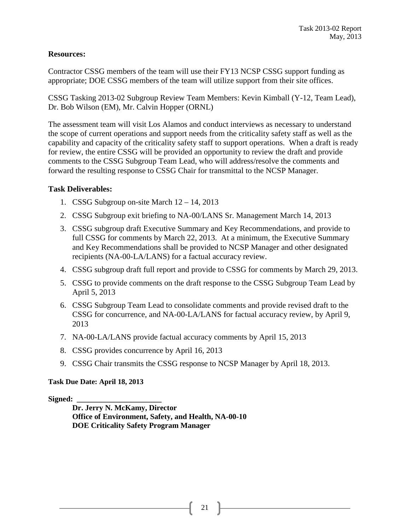### **Resources:**

Contractor CSSG members of the team will use their FY13 NCSP CSSG support funding as appropriate; DOE CSSG members of the team will utilize support from their site offices.

CSSG Tasking 2013-02 Subgroup Review Team Members: Kevin Kimball (Y-12, Team Lead), Dr. Bob Wilson (EM), Mr. Calvin Hopper (ORNL)

The assessment team will visit Los Alamos and conduct interviews as necessary to understand the scope of current operations and support needs from the criticality safety staff as well as the capability and capacity of the criticality safety staff to support operations. When a draft is ready for review, the entire CSSG will be provided an opportunity to review the draft and provide comments to the CSSG Subgroup Team Lead, who will address/resolve the comments and forward the resulting response to CSSG Chair for transmittal to the NCSP Manager.

### **Task Deliverables:**

- 1. CSSG Subgroup on-site March 12 14, 2013
- 2. CSSG Subgroup exit briefing to NA-00/LANS Sr. Management March 14, 2013
- 3. CSSG subgroup draft Executive Summary and Key Recommendations, and provide to full CSSG for comments by March 22, 2013. At a minimum, the Executive Summary and Key Recommendations shall be provided to NCSP Manager and other designated recipients (NA-00-LA/LANS) for a factual accuracy review.
- 4. CSSG subgroup draft full report and provide to CSSG for comments by March 29, 2013.
- 5. CSSG to provide comments on the draft response to the CSSG Subgroup Team Lead by April 5, 2013
- 6. CSSG Subgroup Team Lead to consolidate comments and provide revised draft to the CSSG for concurrence, and NA-00-LA/LANS for factual accuracy review, by April 9, 2013
- 7. NA-00-LA/LANS provide factual accuracy comments by April 15, 2013
- 8. CSSG provides concurrence by April 16, 2013
- 9. CSSG Chair transmits the CSSG response to NCSP Manager by April 18, 2013.

#### **Task Due Date: April 18, 2013**

**Signed: \_\_\_\_\_\_\_\_\_\_\_\_\_\_\_\_\_\_\_\_\_\_**

**Dr. Jerry N. McKamy, Director Office of Environment, Safety, and Health, NA-00-10 DOE Criticality Safety Program Manager**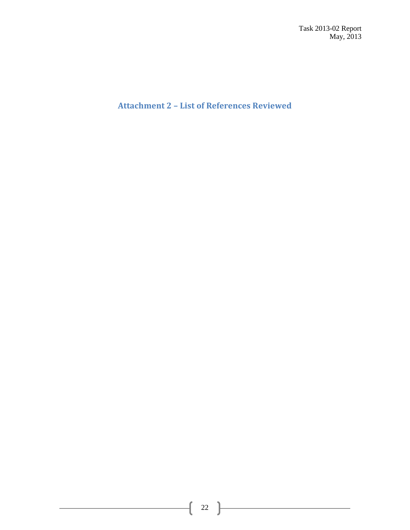Task 2013-02 Report May, 2013

**Attachment 2 – List of References Reviewed**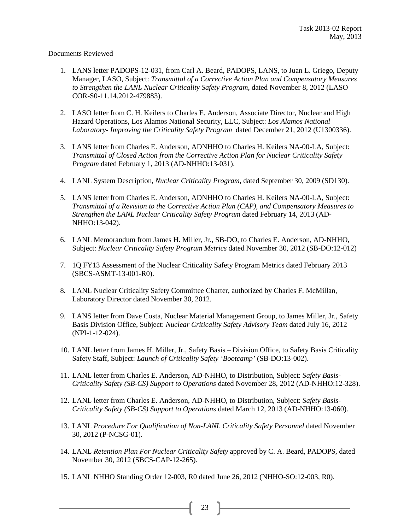Documents Reviewed

- 1. LANS letter PADOPS-12-031, from Carl A. Beard, PADOPS, LANS, to Juan L. Griego, Deputy Manager, LASO, Subject: *Transmittal of a Corrective Action Plan and Compensatory Measures to Strengthen the LANL Nuclear Criticality Safety Program,* dated November 8, 2012 (LASO COR-S0-11.14.2012-479883).
- 2. LASO letter from C. H. Keilers to Charles E. Anderson, Associate Director, Nuclear and High Hazard Operations, Los Alamos National Security, LLC, Subject: *Los Alamos National Laboratory- Improving the Criticality Safety Program* dated December 21, 2012 (U1300336).
- 3. LANS letter from Charles E. Anderson, ADNHHO to Charles H. Keilers NA-00-LA, Subject: *Transmittal of Closed Action from the Corrective Action Plan for Nuclear Criticality Safety Program* dated February 1, 2013 (AD-NHHO:13-031).
- 4. LANL System Description, *Nuclear Criticality Program*, dated September 30, 2009 (SD130).
- 5. LANS letter from Charles E. Anderson, ADNHHO to Charles H. Keilers NA-00-LA, Subject: *Transmittal of a Revision to the Corrective Action Plan (CAP), and Compensatory Measures to Strengthen the LANL Nuclear Criticality Safety Program* dated February 14, 2013 (AD-NHHO:13-042).
- 6. LANL Memorandum from James H. Miller, Jr., SB-DO, to Charles E. Anderson, AD-NHHO, Subject: *Nuclear Criticality Safety Program Metrics* dated November 30, 2012 (SB-DO:12-012)
- 7. 1Q FY13 Assessment of the Nuclear Criticality Safety Program Metrics dated February 2013 (SBCS-ASMT-13-001-R0).
- 8. LANL Nuclear Criticality Safety Committee Charter, authorized by Charles F. McMillan, Laboratory Director dated November 30, 2012.
- 9. LANS letter from Dave Costa, Nuclear Material Management Group, to James Miller, Jr., Safety Basis Division Office, Subject: *Nuclear Criticality Safety Advisory Team* dated July 16, 2012 (NPI-1-12-024).
- 10. LANL letter from James H. Miller, Jr., Safety Basis Division Office, to Safety Basis Criticality Safety Staff, Subject: *Launch of Criticality Safety 'Bootcamp'* (SB-DO:13-002).
- 11. LANL letter from Charles E. Anderson, AD-NHHO, to Distribution, Subject: *Safety Basis-Criticality Safety (SB-CS) Support to Operations* dated November 28, 2012 (AD-NHHO:12-328).
- 12. LANL letter from Charles E. Anderson, AD-NHHO, to Distribution, Subject: *Safety Basis-Criticality Safety (SB-CS) Support to Operations* dated March 12, 2013 (AD-NHHO:13-060).
- 13. LANL *Procedure For Qualification of Non-LANL Criticality Safety Personnel* dated November 30, 2012 (P-NCSG-01).
- 14. LANL *Retention Plan For Nuclear Criticality Safety* approved by C. A. Beard, PADOPS, dated November 30, 2012 (SBCS-CAP-12-265).
- 15. LANL NHHO Standing Order 12-003, R0 dated June 26, 2012 (NHHO-SO:12-003, R0).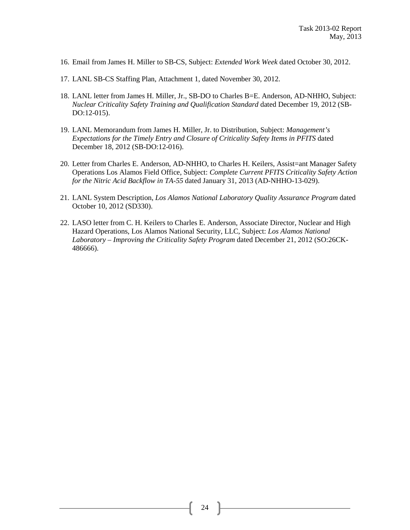- 16. Email from James H. Miller to SB-CS, Subject: *Extended Work Week* dated October 30, 2012.
- 17. LANL SB-CS Staffing Plan, Attachment 1, dated November 30, 2012.
- 18. LANL letter from James H. Miller, Jr., SB-DO to Charles B=E. Anderson, AD-NHHO, Subject: *Nuclear Criticality Safety Training and Qualification Standard* dated December 19, 2012 (SB-DO:12-015).
- 19. LANL Memorandum from James H. Miller, Jr. to Distribution, Subject: *Management's Expectations for the Timely Entry and Closure of Criticality Safety Items in PFITS* dated December 18, 2012 (SB-DO:12-016).
- 20. Letter from Charles E. Anderson, AD-NHHO, to Charles H. Keilers, Assist=ant Manager Safety Operations Los Alamos Field Office, Subject: *Complete Current PFITS Criticality Safety Action for the Nitric Acid Backflow in TA-55* dated January 31, 2013 (AD-NHHO-13-029).
- 21. LANL System Description, *Los Alamos National Laboratory Quality Assurance Program* dated October 10, 2012 (SD330).
- 22. LASO letter from C. H. Keilers to Charles E. Anderson, Associate Director, Nuclear and High Hazard Operations, Los Alamos National Security, LLC, Subject: *Los Alamos National Laboratory – Improving the Criticality Safety Program* dated December 21, 2012 (SO:26CK-486666).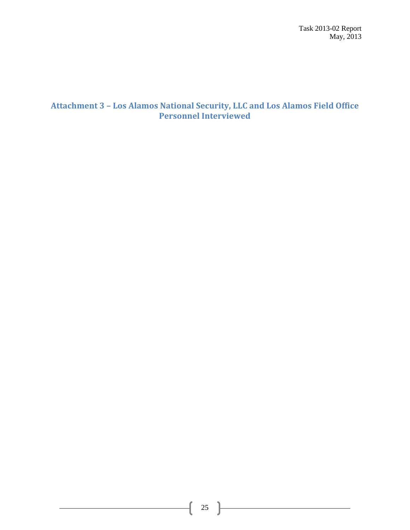Task 2013-02 Report May, 2013

### **Attachment 3 – Los Alamos National Security, LLC and Los Alamos Field Office Personnel Interviewed**

<u> 1980 - Johann Barbara, martxa a</u>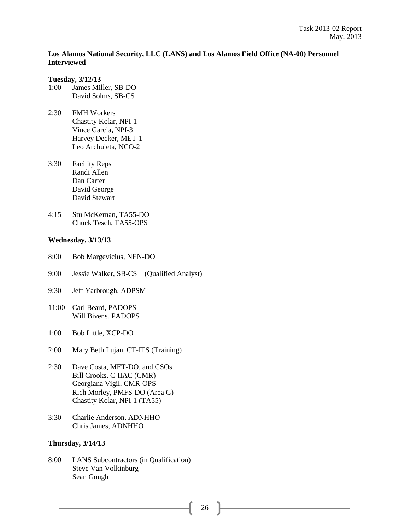### **Los Alamos National Security, LLC (LANS) and Los Alamos Field Office (NA-00) Personnel Interviewed**

#### **Tuesday, 3/12/13**

- 1:00 James Miller, SB-DO David Solms, SB-CS
- 2:30 FMH Workers Chastity Kolar, NPI-1 Vince Garcia, NPI-3 Harvey Decker, MET-1 Leo Archuleta, NCO-2
- 3:30 Facility Reps Randi Allen Dan Carter David George David Stewart
- 4:15 Stu McKernan, TA55-DO Chuck Tesch, TA55-OPS

#### **Wednesday, 3/13/13**

- 8:00 Bob Margevicius, NEN-DO
- 9:00 Jessie Walker, SB-CS (Qualified Analyst)
- 9:30 Jeff Yarbrough, ADPSM
- 11:00 Carl Beard, PADOPS Will Bivens, PADOPS
- 1:00 Bob Little, XCP-DO
- 2:00 Mary Beth Lujan, CT-ITS (Training)
- 2:30 Dave Costa, MET-DO, and CSOs Bill Crooks, C-IIAC (CMR) Georgiana Vigil, CMR-OPS Rich Morley, PMFS-DO (Area G) Chastity Kolar, NPI-1 (TA55)
- 3:30 Charlie Anderson, ADNHHO Chris James, ADNHHO

#### **Thursday, 3/14/13**

8:00 LANS Subcontractors (in Qualification) Steve Van Volkinburg Sean Gough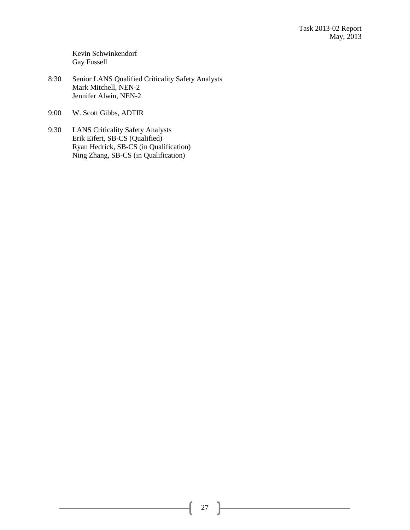Kevin Schwinkendorf Gay Fussell

- 8:30 Senior LANS Qualified Criticality Safety Analysts Mark Mitchell, NEN-2 Jennifer Alwin, NEN-2
- 9:00 W. Scott Gibbs, ADTIR
- 9:30 LANS Criticality Safety Analysts Erik Eifert, SB-CS (Qualified) Ryan Hedrick, SB-CS (in Qualification) Ning Zhang, SB-CS (in Qualification)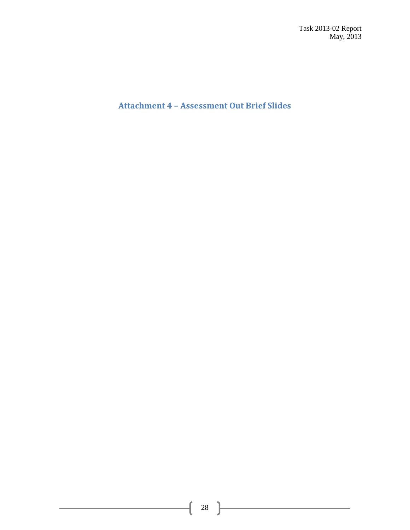Task 2013-02 Report May, 2013

**Attachment 4 – Assessment Out Brief Slides**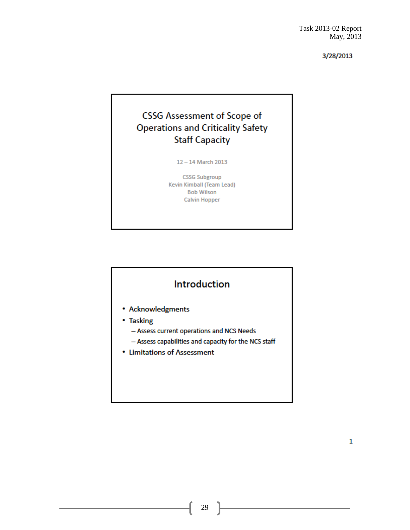# **CSSG Assessment of Scope of Operations and Criticality Safety Staff Capacity**

 $12 - 14$  March 2013

**CSSG Subgroup** Kevin Kimball (Team Lead) **Bob Wilson Calvin Hopper** 

# Introduction

- Acknowledgments
- Tasking
	- Assess current operations and NCS Needs
	- Assess capabilities and capacity for the NCS staff
- Limitations of Assessment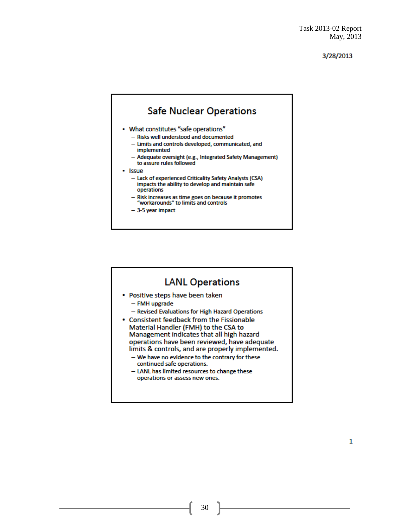

### **LANL Operations**

- Positive steps have been taken
	- FMH upgrade
	- Revised Evaluations for High Hazard Operations
- Consistent feedback from the Fissionable Material Handler (FMH) to the CSA to Management indicates that all high hazard operations have been reviewed, have adequate limits & controls, and are properly implemented.
	- We have no evidence to the contrary for these continued safe operations.
	- LANL has limited resources to change these operations or assess new ones.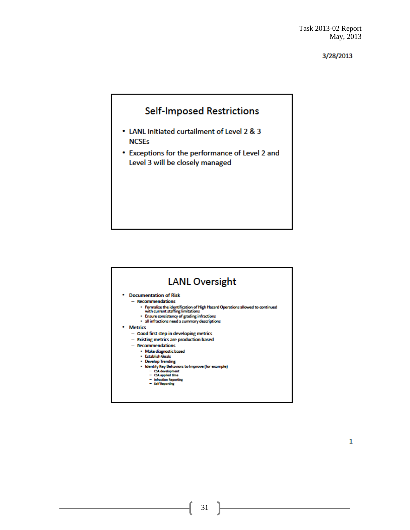# **Self-Imposed Restrictions**

- LANL Initiated curtailment of Level 2 & 3 **NCSEs**
- Exceptions for the performance of Level 2 and Level 3 will be closely managed

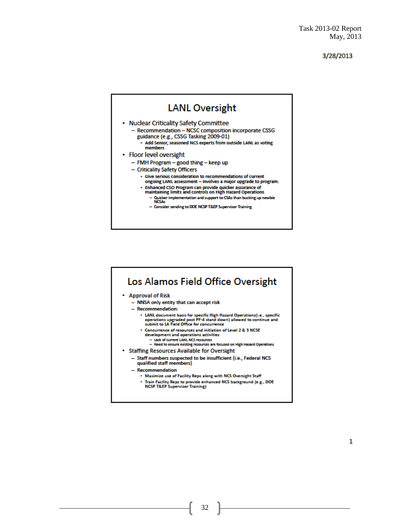#### **LANL Oversight** • Nuclear Criticality Safety Committee - Recommendation - NCSC composition incorporate CSSG guidance (e.g., CSSG Tasking 2009-01) - Add Senior, seasoned NCS experts from outside LANL as voting members • Floor level oversight - FMH Program - good thing - keep up - Criticality Safety Officers - Give serious consideration to recommendations of current ongoing LANL assessment - involves a major upgrade to program. Enhanced CSO Program can provide quicker assurance of maintaining limits and controls on High Hazard Operations - Quicker implementation and support to CSAs than bucking up newbie<br>NCSAs - Consider sending to DOE NCSP T&EP Supervisor Training

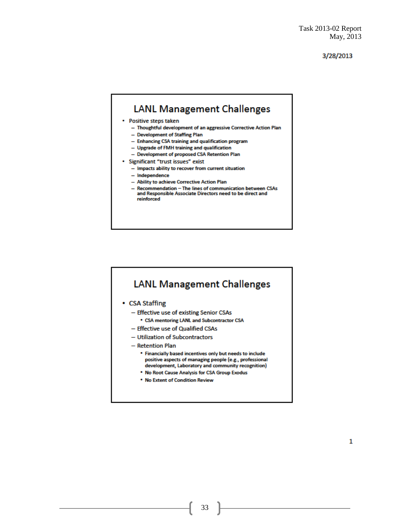# **LANL Management Challenges**

#### • Positive steps taken

- Thoughtful development of an aggressive Corrective Action Plan
- Development of Staffing Plan
- Enhancing CSA training and qualification program
- Upgrade of FMH training and qualification
- Development of proposed CSA Retention Plan
- · Significant "trust issues" exist
	- Impacts ability to recover from current situation
	- Independence
	- Ability to achieve Corrective Action Plan
	- Recommendation The lines of communication between CSAs<br>and Responsible Associate Directors need to be direct and reinforced

# **LANL Management Challenges**

- CSA Staffing
	- Effective use of existing Senior CSAs
		- CSA mentoring LANL and Subcontractor CSA
	- Effective use of Qualified CSAs
	- Utilization of Subcontractors
	- Retention Plan
		- . Financially based incentives only but needs to include positive aspects of managing people (e.g., professional development, Laboratory and community recognition)
		- . No Root Cause Analysis for CSA Group Exodus
		- . No Extent of Condition Review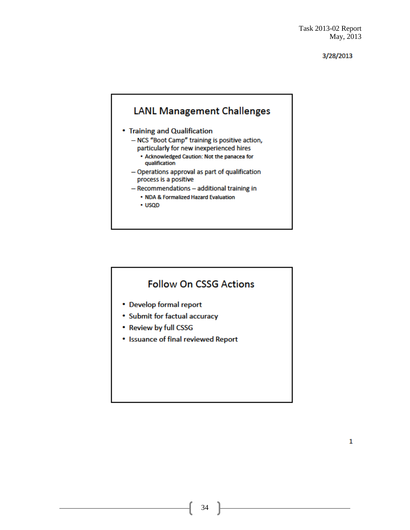# **LANL Management Challenges**

- Training and Qualification
	- NCS "Boot Camp" training is positive action, particularly for new inexperienced hires
		- . Acknowledged Caution: Not the panacea for qualification
	- Operations approval as part of qualification process is a positive
	- Recommendations additional training in
		- . NDA & Formalized Hazard Evaluation
		- · USQD

# **Follow On CSSG Actions**

- Develop formal report
- Submit for factual accuracy
- Review by full CSSG
- Issuance of final reviewed Report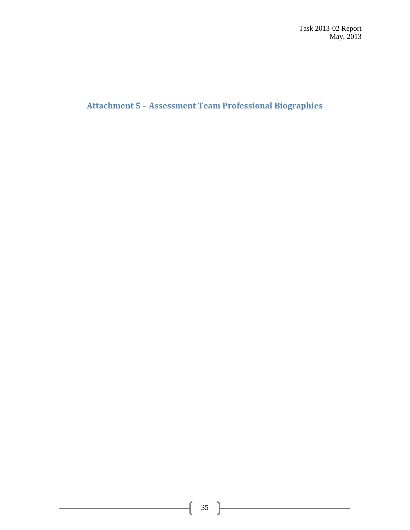**Attachment 5 – Assessment Team Professional Biographies**

<u> 1980 - Johann Barbara, martxa a</u>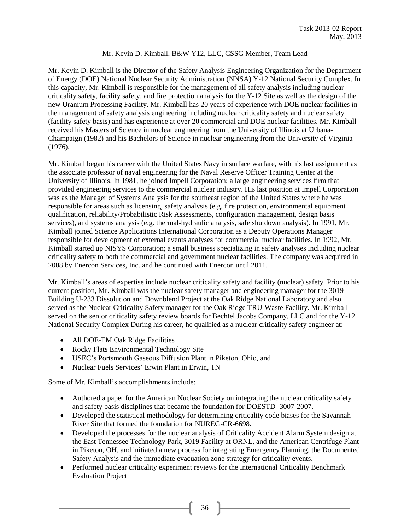### Mr. Kevin D. Kimball, B&W Y12, LLC, CSSG Member, Team Lead

Mr. Kevin D. Kimball is the Director of the Safety Analysis Engineering Organization for the Department of Energy (DOE) National Nuclear Security Administration (NNSA) Y-12 National Security Complex. In this capacity, Mr. Kimball is responsible for the management of all safety analysis including nuclear criticality safety, facility safety, and fire protection analysis for the Y-12 Site as well as the design of the new Uranium Processing Facility. Mr. Kimball has 20 years of experience with DOE nuclear facilities in the management of safety analysis engineering including nuclear criticality safety and nuclear safety (facility safety basis) and has experience at over 20 commercial and DOE nuclear facilities. Mr. Kimball received his Masters of Science in nuclear engineering from the University of Illinois at Urbana-Champaign (1982) and his Bachelors of Science in nuclear engineering from the University of Virginia (1976).

Mr. Kimball began his career with the United States Navy in surface warfare, with his last assignment as the associate professor of naval engineering for the Naval Reserve Officer Training Center at the University of Illinois. In 1981, he joined Impell Corporation; a large engineering services firm that provided engineering services to the commercial nuclear industry. His last position at Impell Corporation was as the Manager of Systems Analysis for the southeast region of the United States where he was responsible for areas such as licensing, safety analysis (e.g. fire protection, environmental equipment qualification, reliability/Probabilistic Risk Assessments, configuration management, design basis services), and systems analysis (e.g. thermal-hydraulic analysis, safe shutdown analysis). In 1991, Mr. Kimball joined Science Applications International Corporation as a Deputy Operations Manager responsible for development of external events analyses for commercial nuclear facilities. In 1992, Mr. Kimball started up NISYS Corporation; a small business specializing in safety analyses including nuclear criticality safety to both the commercial and government nuclear facilities. The company was acquired in 2008 by Enercon Services, Inc. and he continued with Enercon until 2011.

Mr. Kimball's areas of expertise include nuclear criticality safety and facility (nuclear) safety. Prior to his current position, Mr. Kimball was the nuclear safety manager and engineering manager for the 3019 Building U-233 Dissolution and Downblend Project at the Oak Ridge National Laboratory and also served as the Nuclear Criticality Safety manager for the Oak Ridge TRU-Waste Facility. Mr. Kimball served on the senior criticality safety review boards for Bechtel Jacobs Company, LLC and for the Y-12 National Security Complex During his career, he qualified as a nuclear criticality safety engineer at:

- All DOE-EM Oak Ridge Facilities
- Rocky Flats Environmental Technology Site
- USEC's Portsmouth Gaseous Diffusion Plant in Piketon, Ohio, and
- Nuclear Fuels Services' Erwin Plant in Erwin, TN

Some of Mr. Kimball's accomplishments include:

- Authored a paper for the American Nuclear Society on integrating the nuclear criticality safety and safety basis disciplines that became the foundation for DOESTD- 3007-2007.
- Developed the statistical methodology for determining criticality code biases for the Savannah River Site that formed the foundation for NUREG-CR-6698.
- Developed the processes for the nuclear analysis of Criticality Accident Alarm System design at the East Tennessee Technology Park, 3019 Facility at ORNL, and the American Centrifuge Plant in Piketon, OH, and initiated a new process for integrating Emergency Planning, the Documented Safety Analysis and the immediate evacuation zone strategy for criticality events.
- Performed nuclear criticality experiment reviews for the International Criticality Benchmark Evaluation Project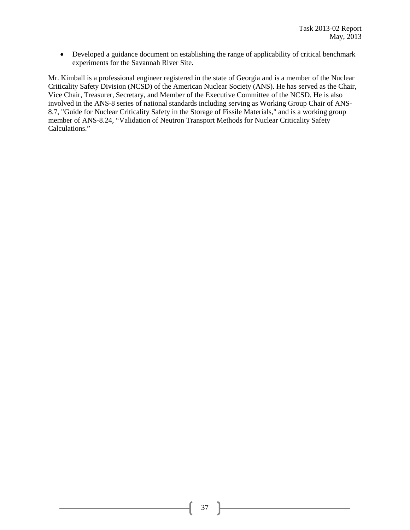• Developed a guidance document on establishing the range of applicability of critical benchmark experiments for the Savannah River Site.

Mr. Kimball is a professional engineer registered in the state of Georgia and is a member of the Nuclear Criticality Safety Division (NCSD) of the American Nuclear Society (ANS). He has served as the Chair, Vice Chair, Treasurer, Secretary, and Member of the Executive Committee of the NCSD. He is also involved in the ANS-8 series of national standards including serving as Working Group Chair of ANS-8.7, "Guide for Nuclear Criticality Safety in the Storage of Fissile Materials," and is a working group member of ANS-8.24, "Validation of Neutron Transport Methods for Nuclear Criticality Safety Calculations."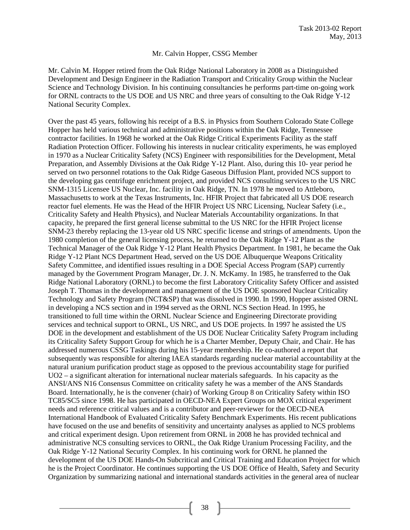#### Mr. Calvin Hopper, CSSG Member

Mr. Calvin M. Hopper retired from the Oak Ridge National Laboratory in 2008 as a Distinguished Development and Design Engineer in the Radiation Transport and Criticality Group within the Nuclear Science and Technology Division. In his continuing consultancies he performs part-time on-going work for ORNL contracts to the US DOE and US NRC and three years of consulting to the Oak Ridge Y-12 National Security Complex.

Over the past 45 years, following his receipt of a B.S. in Physics from Southern Colorado State College Hopper has held various technical and administrative positions within the Oak Ridge, Tennessee contractor facilities. In 1968 he worked at the Oak Ridge Critical Experiments Facility as the staff Radiation Protection Officer. Following his interests in nuclear criticality experiments, he was employed in 1970 as a Nuclear Criticality Safety (NCS) Engineer with responsibilities for the Development, Metal Preparation, and Assembly Divisions at the Oak Ridge Y-12 Plant. Also, during this 10- year period he served on two personnel rotations to the Oak Ridge Gaseous Diffusion Plant, provided NCS support to the developing gas centrifuge enrichment project, and provided NCS consulting services to the US NRC SNM-1315 Licensee US Nuclear, Inc. facility in Oak Ridge, TN. In 1978 he moved to Attleboro, Massachusetts to work at the Texas Instruments, Inc. HFIR Project that fabricated all US DOE research reactor fuel elements. He was the Head of the HFIR Project US NRC Licensing, Nuclear Safety (i.e., Criticality Safety and Health Physics), and Nuclear Materials Accountability organizations. In that capacity, he prepared the first general license submittal to the US NRC for the HFIR Project license SNM-23 thereby replacing the 13-year old US NRC specific license and strings of amendments. Upon the 1980 completion of the general licensing process, he returned to the Oak Ridge Y-12 Plant as the Technical Manager of the Oak Ridge Y-12 Plant Health Physics Department. In 1981, he became the Oak Ridge Y-12 Plant NCS Department Head, served on the US DOE Albuquerque Weapons Criticality Safety Committee, and identified issues resulting in a DOE Special Access Program (SAP) currently managed by the Government Program Manager, Dr. J. N. McKamy. In 1985, he transferred to the Oak Ridge National Laboratory (ORNL) to become the first Laboratory Criticality Safety Officer and assisted Joseph T. Thomas in the development and management of the US DOE sponsored Nuclear Criticality Technology and Safety Program (NCT&SP) that was dissolved in 1990. In 1990, Hopper assisted ORNL in developing a NCS section and in 1994 served as the ORNL NCS Section Head. In 1995, he transitioned to full time within the ORNL Nuclear Science and Engineering Directorate providing services and technical support to ORNL, US NRC, and US DOE projects. In 1997 he assisted the US DOE in the development and establishment of the US DOE Nuclear Criticality Safety Program including its Criticality Safety Support Group for which he is a Charter Member, Deputy Chair, and Chair. He has addressed numerous CSSG Taskings during his 15-year membership. He co-authored a report that subsequently was responsible for altering IAEA standards regarding nuclear material accountability at the natural uranium purification product stage as opposed to the previous accountability stage for purified UO2 – a significant alteration for international nuclear materials safeguards. In his capacity as the ANSI/ANS N16 Consensus Committee on criticality safety he was a member of the ANS Standards Board. Internationally, he is the convener (chair) of Working Group 8 on Criticality Safety within ISO TC85/SC5 since 1998. He has participated in OECD-NEA Expert Groups on MOX critical experiment needs and reference critical values and is a contributor and peer-reviewer for the OECD-NEA International Handbook of Evaluated Criticality Safety Benchmark Experiments. His recent publications have focused on the use and benefits of sensitivity and uncertainty analyses as applied to NCS problems and critical experiment design. Upon retirement from ORNL in 2008 he has provided technical and administrative NCS consulting services to ORNL, the Oak Ridge Uranium Processing Facility, and the Oak Ridge Y-12 National Security Complex. In his continuing work for ORNL he planned the development of the US DOE Hands-On Subcritical and Critical Training and Education Project for which he is the Project Coordinator. He continues supporting the US DOE Office of Health, Safety and Security Organization by summarizing national and international standards activities in the general area of nuclear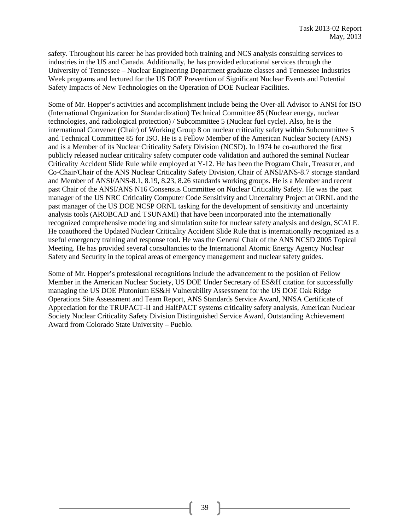safety. Throughout his career he has provided both training and NCS analysis consulting services to industries in the US and Canada. Additionally, he has provided educational services through the University of Tennessee – Nuclear Engineering Department graduate classes and Tennessee Industries Week programs and lectured for the US DOE Prevention of Significant Nuclear Events and Potential Safety Impacts of New Technologies on the Operation of DOE Nuclear Facilities.

Some of Mr. Hopper's activities and accomplishment include being the Over-all Advisor to ANSI for ISO (International Organization for Standardization) Technical Committee 85 (Nuclear energy, nuclear technologies, and radiological protection) / Subcommittee 5 (Nuclear fuel cycle). Also, he is the international Convener (Chair) of Working Group 8 on nuclear criticality safety within Subcommittee 5 and Technical Committee 85 for ISO. He is a Fellow Member of the American Nuclear Society (ANS) and is a Member of its Nuclear Criticality Safety Division (NCSD). In 1974 he co-authored the first publicly released nuclear criticality safety computer code validation and authored the seminal Nuclear Criticality Accident Slide Rule while employed at Y-12. He has been the Program Chair, Treasurer, and Co-Chair/Chair of the ANS Nuclear Criticality Safety Division, Chair of ANSI/ANS-8.7 storage standard and Member of ANSI/ANS-8.1, 8.19, 8.23, 8.26 standards working groups. He is a Member and recent past Chair of the ANSI/ANS N16 Consensus Committee on Nuclear Criticality Safety. He was the past manager of the US NRC Criticality Computer Code Sensitivity and Uncertainty Project at ORNL and the past manager of the US DOE NCSP ORNL tasking for the development of sensitivity and uncertainty analysis tools (AROBCAD and TSUNAMI) that have been incorporated into the internationally recognized comprehensive modeling and simulation suite for nuclear safety analysis and design, SCALE. He coauthored the Updated Nuclear Criticality Accident Slide Rule that is internationally recognized as a useful emergency training and response tool. He was the General Chair of the ANS NCSD 2005 Topical Meeting. He has provided several consultancies to the International Atomic Energy Agency Nuclear Safety and Security in the topical areas of emergency management and nuclear safety guides.

Some of Mr. Hopper's professional recognitions include the advancement to the position of Fellow Member in the American Nuclear Society, US DOE Under Secretary of ES&H citation for successfully managing the US DOE Plutonium ES&H Vulnerability Assessment for the US DOE Oak Ridge Operations Site Assessment and Team Report, ANS Standards Service Award, NNSA Certificate of Appreciation for the TRUPACT-II and HalfPACT systems criticality safety analysis, American Nuclear Society Nuclear Criticality Safety Division Distinguished Service Award, Outstanding Achievement Award from Colorado State University – Pueblo.